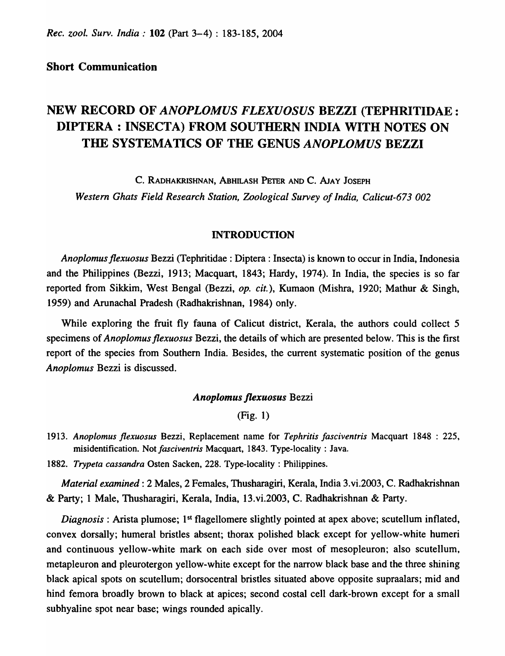# Short Communication

# NEW RECORD OF *ANOPLOMUS FLEXUOSUS* BEZZI (TEPHRITIDAE : DIPTERA: INSECTA) FROM SOUTHERN INDIA WITH NOTES ON THE SYSTEMATICS OF THE GENUS *ANOPLOMUS* BEZZI

C. RADHAKRISHNAN, ABHILASH PETER AND C. *NAY* JOSEPH

*Western Ghats Field Research Station, Zoological Survey of India, Calicut-673 002* 

## INTRODUCTION

*Anoplomus flexuosus* Bezzi (Tephritidae : Diptera : Insecta) is known to occur in India, Indonesia arid the Philippines (Bezzi, 1913; Macquart, 1843; Hardy, 1974). In India, the species is so far reported from Sikkim, West Bengal (Bezzi, *op. cit.*), Kumaon (Mishra, 1920; Mathur & Singh, 1959) and Arunachal Pradesh (Radhakrishnan, 1984) only.

While exploring the fruit fly fauna of Calicut district, Kerala, the authors could collect 5 specimens of *Anoplomus flexuosus* Bezzi, the details of which are presented below. This is the first report of the species from Southern India. Besides, the current systematic position of the genus *Anoplomus* Bezzi is discussed.

# *Anoplomus flexuosus* Bezzi

(Fig. 1)

- *1913. Anoplomus flexuosus* Bezzi, Replacement name for *Tephritis Jasciventris* Macquart 1848 : 225, misidentification. Not *fasciventris* Macquart, 1843. Type-locality: Java.
- *1882. Trypeta cassandra* Osten Sacken, 228. Type-locality : Philippines.

*Material examined:* 2 Males, 2 Females, Thusharagiri, Kerala, India 3. vi. 2003 , C. Radhakrishnan & Party; 1 Male, Thusharagiri, Kerala, India, 13.vi.2003, C. Radhakrishnan & Party.

*Diagnosis*: Arista plumose; 1<sup>st</sup> flagellomere slightly pointed at apex above; scutellum inflated, convex dorsally; humeral bristles absent; thorax polished black except for yellow-white humeri and continuous yellow-white mark on each side over most of mesopleuron; also scutellum, metapleuron and pleurotergon yellow-white except for the narrow black base and the three shining black apical spots on scutellum; dorsocentral bristles situated above opposite supraalars; mid and hind femora broadly brown to black at apices; second costal cell dark-brown except for a small subhyaline spot near base; wings rounded apically.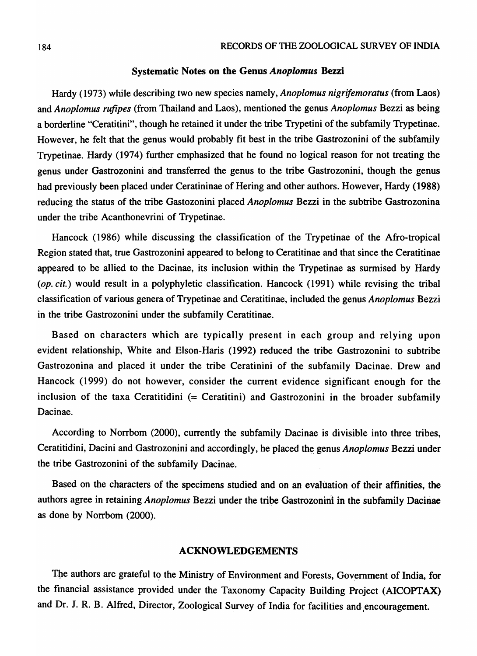## Systematic Notes on the Genus *Anoplomus* Bezzi

Hardy (1973) while describing two new species namely, *Anoplomus nigrifemoratus* (from Laos) and *Anoplomus rufipes* (from Thailand and Laos), mentioned the genus *Anoplomus* Bezzi as being a borderline "Ceratitini", though he retained it under the tribe Trypetini of the subfamily Trypetinae. However, he felt that the genus would probably fit best in the tribe Gastrozonini of the subfamily Trypetinae. Hardy (1974) further emphasized that he found no logical reason for not treating the genus under Gastrozonini and transferred the genus to the tribe Gastrozonini, though the genus had previously been placed under Ceratininae of Hering and other authors. However, Hardy (1988) reducing the status of the tribe Gastozonini placed *Anoplomus* Bezzi in the subtribe Gastrozonina under the tribe Acanthonevrini of Trypetinae.

Hancock (1986) while discussing the classification of the Trypetinae of the Afro-tropical Region stated that, true Gastrozonini appeared to belong to Ceratitinae and that since the Ceratitinae appeared to be allied to the Dacinae, its inclusion within the Trypetinae as surmised by Hardy *(op. cit.)* would result in a polyphyletic classification. Hancock (1991) while revising the tribal classification of various genera of Trypetinae and Ceratitinae, included the genus *Anoplomus* Bezzi in the tribe Gastrozonini under the subfamily Ceratitinae.

Based on characters which are typically present in each group and relying upon evident relationship, White and Elson-Haris (1992) reduced the tribe Gastrozonini to subtribe Gastrozonina and placed it under the tribe Ceratinini of the subfamily Dacinae. Drew and Hancock (1999) do not however, consider the current evidence significant enough for the inclusion of the taxa Ceratitidini  $(=$  Ceratitini) and Gastrozonini in the broader subfamily Dacinae.

According to Norrbom (2000), currently the subfamily Dacinae is divisible into three tribes, Ceratitidini, Dacini and Gastrozonini and accordingly, he placed the genus *Anoplomus* Bezzi under the tribe Gastrozonini of the subfamily Dacinae.

Based on the characters of the specimens studied and on an evaluation of their affinities, the authors agree in retaining *Anoplomus* Bezzi under the tribe Gastrozonini in the subfamily Dacinae as done by Norrbom (2000).

#### ACKNOWLEDGEMENTS

The authors are grateful to the Ministry of Environment and Forests, Government of India, for the financial assistance provided under the Taxonomy Capacity Building Project (AICOPTAX) and Dr. J. R. B. Alfred, Director, Zoological Survey of India for facilities and encouragement.